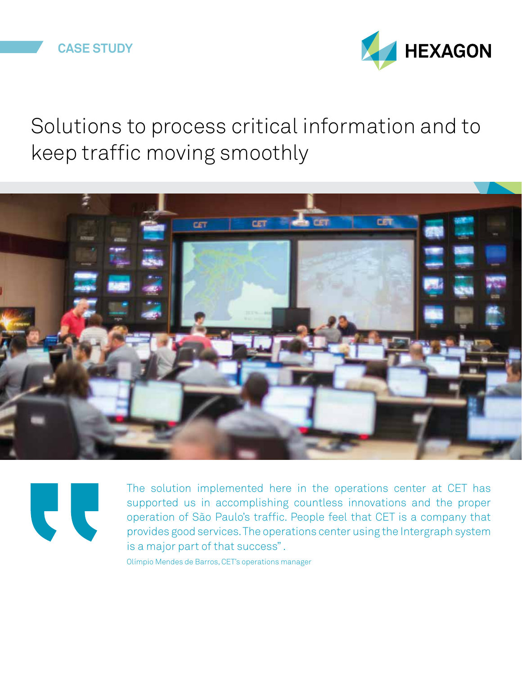

## Solutions to process critical information and to keep traffic moving smoothly





The solution implemented here in the operations center at CET has supported us in accomplishing countless innovations and the proper operation of São Paulo's traffic. People feel that CET is a company that provides good services. The operations center using the Intergraph system is a major part of that success" .

Olímpio Mendes de Barros, CET's operations manager